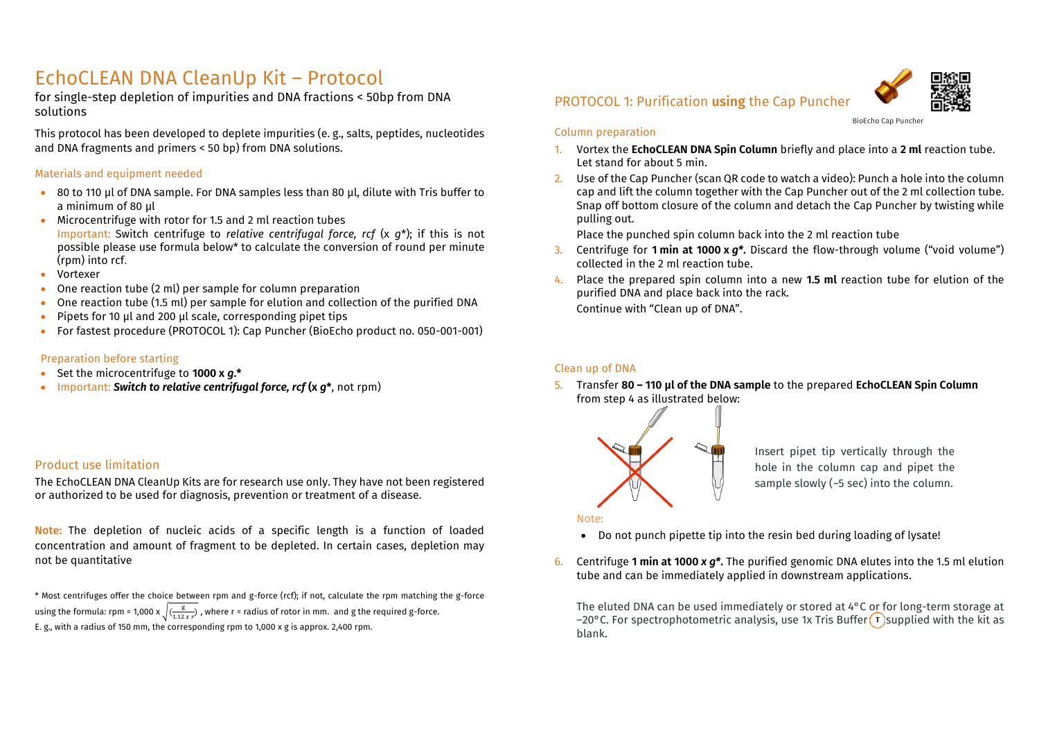## EchoCLEAN DNA CleanUp Kit – Protocol

for single-step depletion of impurities and DNA fractions < 50bp from DNA solutions

This protocol has been developed to deplete impurities (e. g., salts, peptides, nucleotides and DNA fragments and primers < 50 bp) from DNA solutions.

#### Materials and equipment needed

- 80 to 110 µl of DNA sample. For DNA samples less than 80 µl, dilute with Tris buffer to a minimum of 80 µl
- Microcentrifuge with rotor for 1.5 and 2 ml reaction tubes Important: Switch centrifuge to *relative centrifugal force, rcf* (x *g*\*); if this is not possible please use formula below\* to calculate the conversion of round per minute (rpm) into rcf.
- Vortexer
- One reaction tube (2 ml) per sample for column preparation
- One reaction tube (1.5 ml) per sample for elution and collection of the purified DNA
- Pipets for 10 µl and 200 µl scale, corresponding pipet tips
- For fastest procedure (PROTOCOL 1): Cap Puncher (BioEcho product no. 050-001-001)

#### Preparation before starting

- Set the microcentrifuge to **1000 x** *g***.\***
- Important: *Switch to relative centrifugal force, rcf* **(x** *g***\***, not rpm)

#### Product use limitation

The EchoCLEAN DNA CleanUp Kits are for research use only. They have not been registered or authorized to be used for diagnosis, prevention or treatment of a disease.

**Note:** The depletion of nucleic acids of a specific length is a function of loaded concentration and amount of fragment to be depleted. In certain cases, depletion may not be quantitative

\* Most centrifuges offer the choice between rpm and g-force (rcf); if not, calculate the rpm matching the g-force using the formula: rpm = 1,000 x  $\sqrt{(\frac{g}{1.12 \times r})}$ , where r = radius of rotor in mm. and g the required g-force. E. g., with a radius of 150 mm, the corresponding rpm to 1,000 x g is approx. 2,400 rpm.

## PROTOCOL 1: Purification **using** the Cap Puncher



BioEcho Cap Puncher

#### Column preparation

- 1. Vortex the **EchoCLEAN DNA Spin Column** briefly and place into a **2 ml** reaction tube. Let stand for about 5 min.
- 2. Use of the Cap Puncher (scan QR code to watch a video): Punch a hole into the column cap and lift the column together with the Cap Puncher out of the 2 ml collection tube. Snap off bottom closure of the column and detach the Cap Puncher by twisting while pulling out.

Place the punched spin column back into the 2 ml reaction tube

- 3. Centrifuge for **1 min at 1000 x** *g\****.** Discard the flow-through volume ("void volume") collected in the 2 ml reaction tube.
- 4. Place the prepared spin column into a new **1.5 ml** reaction tube for elution of the purified DNA and place back into the rack. Continue with "Clean up of DNA".

#### Clean up of DNA

5. Transfer **80 – 110 µl of the DNA sample** to the prepared **EchoCLEAN Spin Column** from step 4 as illustrated below:



Insert pipet tip vertically through the hole in the column cap and pipet the sample slowly ( $-5$  sec) into the column.

#### Note:

- Do not punch pipette tip into the resin bed during loading of lysate!
- 6. Centrifuge **1 min at 1000** *x g\****.** The purified genomic DNA elutes into the 1.5 ml elution tube and can be immediately applied in downstream applications.

The eluted DNA can be used immediately or stored at 4°C or for long-term storage at –20°C. For spectrophotometric analysis, use 1x Tris Buffer  $\Gamma$  supplied with the kit as blank.